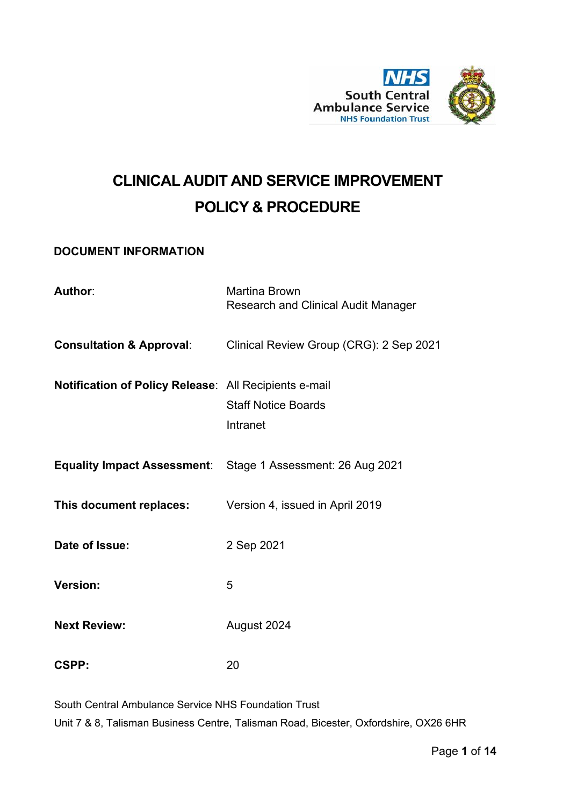

# **CLINICAL AUDIT AND SERVICE IMPROVEMENT POLICY & PROCEDURE**

#### <span id="page-0-0"></span>**DOCUMENT INFORMATION**

| Author:                                                        | <b>Martina Brown</b><br><b>Research and Clinical Audit Manager</b>          |
|----------------------------------------------------------------|-----------------------------------------------------------------------------|
|                                                                | <b>Consultation &amp; Approval:</b> Clinical Review Group (CRG): 2 Sep 2021 |
| <b>Notification of Policy Release: All Recipients e-mail</b>   | <b>Staff Notice Boards</b><br>Intranet                                      |
|                                                                | <b>Equality Impact Assessment:</b> Stage 1 Assessment: 26 Aug 2021          |
| <b>This document replaces:</b> Version 4, issued in April 2019 |                                                                             |
| Date of Issue:                                                 | 2 Sep 2021                                                                  |
| <b>Version:</b>                                                | 5                                                                           |
| <b>Next Review:</b>                                            | August 2024                                                                 |
| CSPP:                                                          | 20                                                                          |

South Central Ambulance Service NHS Foundation Trust Unit 7 & 8, Talisman Business Centre, Talisman Road, Bicester, Oxfordshire, OX26 6HR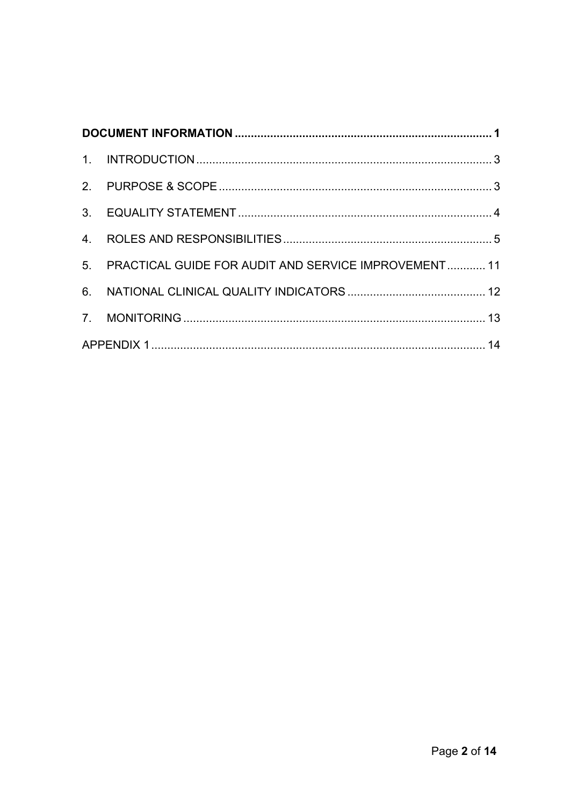|  | 5. PRACTICAL GUIDE FOR AUDIT AND SERVICE IMPROVEMENT 11 |  |
|--|---------------------------------------------------------|--|
|  |                                                         |  |
|  |                                                         |  |
|  |                                                         |  |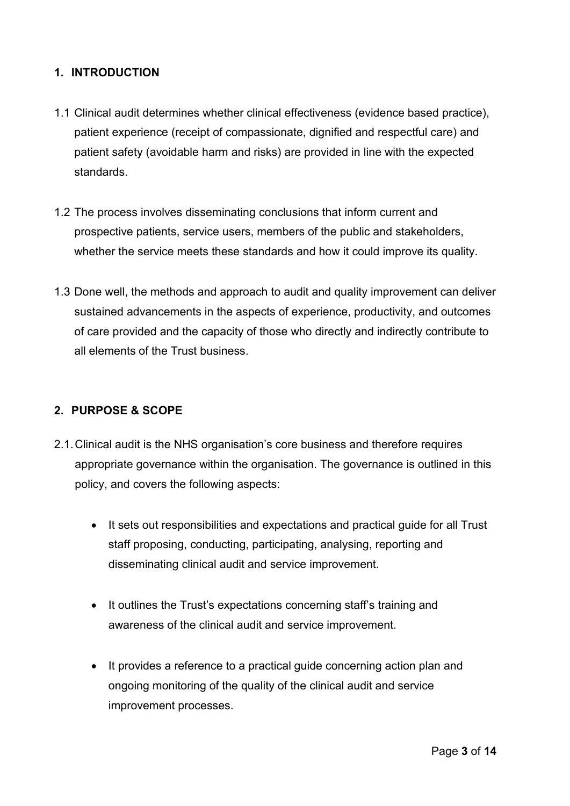#### <span id="page-2-0"></span>**1. INTRODUCTION**

- 1.1 Clinical audit determines whether clinical effectiveness (evidence based practice), patient experience (receipt of compassionate, dignified and respectful care) and patient safety (avoidable harm and risks) are provided in line with the expected standards.
- 1.2 The process involves disseminating conclusions that inform current and prospective patients, service users, members of the public and stakeholders, whether the service meets these standards and how it could improve its quality.
- 1.3 Done well, the methods and approach to audit and quality improvement can deliver sustained advancements in the aspects of experience, productivity, and outcomes of care provided and the capacity of those who directly and indirectly contribute to all elements of the Trust business.

#### <span id="page-2-1"></span>**2. PURPOSE & SCOPE**

- 2.1.Clinical audit is the NHS organisation's core business and therefore requires appropriate governance within the organisation. The governance is outlined in this policy, and covers the following aspects:
	- It sets out responsibilities and expectations and practical guide for all Trust staff proposing, conducting, participating, analysing, reporting and disseminating clinical audit and service improvement.
	- It outlines the Trust's expectations concerning staff's training and awareness of the clinical audit and service improvement.
	- It provides a reference to a practical guide concerning action plan and ongoing monitoring of the quality of the clinical audit and service improvement processes.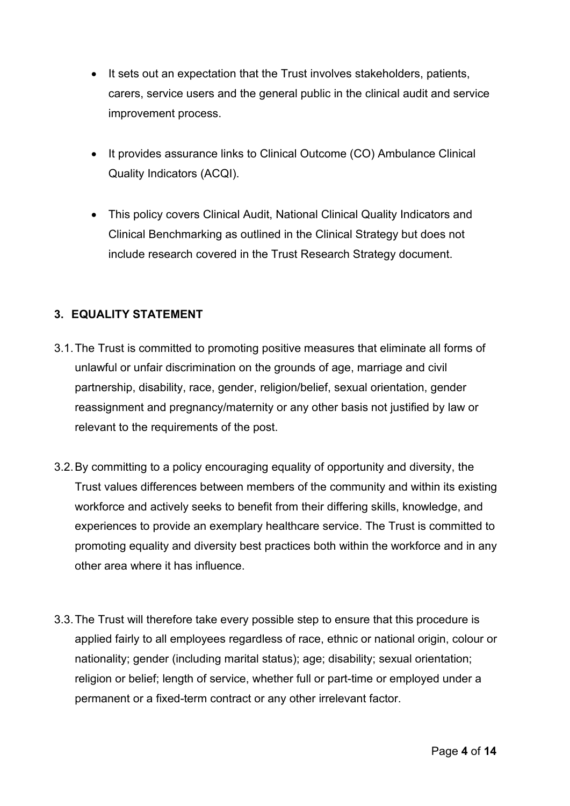- It sets out an expectation that the Trust involves stakeholders, patients, carers, service users and the general public in the clinical audit and service improvement process.
- It provides assurance links to Clinical Outcome (CO) Ambulance Clinical Quality Indicators (ACQI).
- This policy covers Clinical Audit, National Clinical Quality Indicators and Clinical Benchmarking as outlined in the Clinical Strategy but does not include research covered in the Trust Research Strategy document.

## <span id="page-3-0"></span>**3. EQUALITY STATEMENT**

- 3.1.The Trust is committed to promoting positive measures that eliminate all forms of unlawful or unfair discrimination on the grounds of age, marriage and civil partnership, disability, race, gender, religion/belief, sexual orientation, gender reassignment and pregnancy/maternity or any other basis not justified by law or relevant to the requirements of the post.
- 3.2.By committing to a policy encouraging equality of opportunity and diversity, the Trust values differences between members of the community and within its existing workforce and actively seeks to benefit from their differing skills, knowledge, and experiences to provide an exemplary healthcare service. The Trust is committed to promoting equality and diversity best practices both within the workforce and in any other area where it has influence.
- 3.3.The Trust will therefore take every possible step to ensure that this procedure is applied fairly to all employees regardless of race, ethnic or national origin, colour or nationality; gender (including marital status); age; disability; sexual orientation; religion or belief; length of service, whether full or part-time or employed under a permanent or a fixed-term contract or any other irrelevant factor.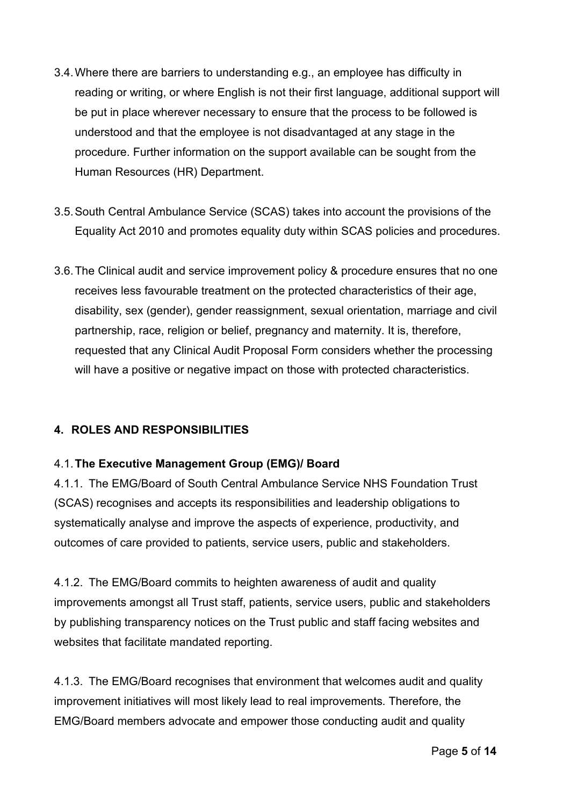- 3.4.Where there are barriers to understanding e.g., an employee has difficulty in reading or writing, or where English is not their first language, additional support will be put in place wherever necessary to ensure that the process to be followed is understood and that the employee is not disadvantaged at any stage in the procedure. Further information on the support available can be sought from the Human Resources (HR) Department.
- 3.5.South Central Ambulance Service (SCAS) takes into account the provisions of the Equality Act 2010 and promotes equality duty within SCAS policies and procedures.
- 3.6.The Clinical audit and service improvement policy & procedure ensures that no one receives less favourable treatment on the protected characteristics of their age, disability, sex (gender), gender reassignment, sexual orientation, marriage and civil partnership, race, religion or belief, pregnancy and maternity. It is, therefore, requested that any Clinical Audit Proposal Form considers whether the processing will have a positive or negative impact on those with protected characteristics.

## <span id="page-4-0"></span>**4. ROLES AND RESPONSIBILITIES**

#### 4.1.**The Executive Management Group (EMG)/ Board**

4.1.1. The EMG/Board of South Central Ambulance Service NHS Foundation Trust (SCAS) recognises and accepts its responsibilities and leadership obligations to systematically analyse and improve the aspects of experience, productivity, and outcomes of care provided to patients, service users, public and stakeholders.

4.1.2. The EMG/Board commits to heighten awareness of audit and quality improvements amongst all Trust staff, patients, service users, public and stakeholders by publishing transparency notices on the Trust public and staff facing websites and websites that facilitate mandated reporting.

4.1.3. The EMG/Board recognises that environment that welcomes audit and quality improvement initiatives will most likely lead to real improvements. Therefore, the EMG/Board members advocate and empower those conducting audit and quality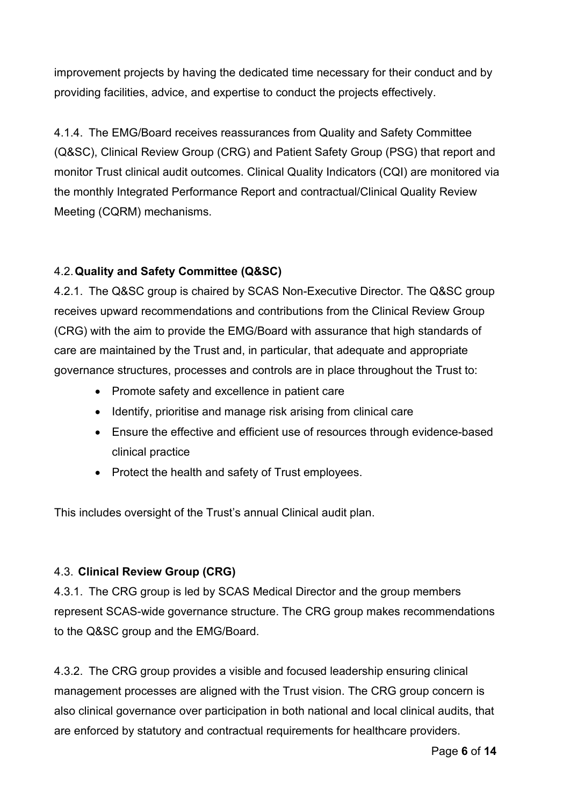improvement projects by having the dedicated time necessary for their conduct and by providing facilities, advice, and expertise to conduct the projects effectively.

4.1.4. The EMG/Board receives reassurances from Quality and Safety Committee (Q&SC), Clinical Review Group (CRG) and Patient Safety Group (PSG) that report and monitor Trust clinical audit outcomes. Clinical Quality Indicators (CQI) are monitored via the monthly Integrated Performance Report and contractual/Clinical Quality Review Meeting (CQRM) mechanisms.

## 4.2.**Quality and Safety Committee (Q&SC)**

4.2.1. The Q&SC group is chaired by SCAS Non-Executive Director. The Q&SC group receives upward recommendations and contributions from the Clinical Review Group (CRG) with the aim to provide the EMG/Board with assurance that high standards of care are maintained by the Trust and, in particular, that adequate and appropriate governance structures, processes and controls are in place throughout the Trust to:

- Promote safety and excellence in patient care
- Identify, prioritise and manage risk arising from clinical care
- Ensure the effective and efficient use of resources through evidence-based clinical practice
- Protect the health and safety of Trust employees.

This includes oversight of the Trust's annual Clinical audit plan.

#### 4.3. **Clinical Review Group (CRG)**

4.3.1. The CRG group is led by SCAS Medical Director and the group members represent SCAS-wide governance structure. The CRG group makes recommendations to the Q&SC group and the EMG/Board.

4.3.2. The CRG group provides a visible and focused leadership ensuring clinical management processes are aligned with the Trust vision. The CRG group concern is also clinical governance over participation in both national and local clinical audits, that are enforced by statutory and contractual requirements for healthcare providers.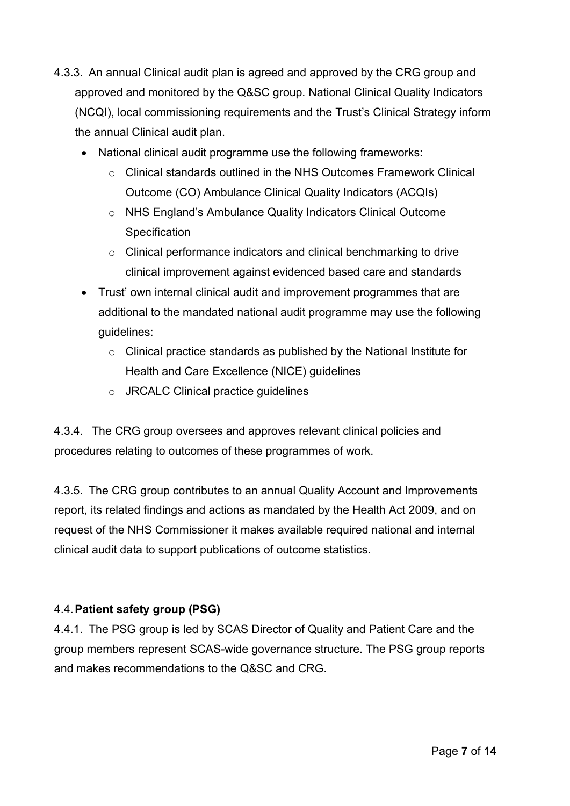- 4.3.3. An annual Clinical audit plan is agreed and approved by the CRG group and approved and monitored by the Q&SC group. National Clinical Quality Indicators (NCQI), local commissioning requirements and the Trust's Clinical Strategy inform the annual Clinical audit plan.
	- National clinical audit programme use the following frameworks:
		- $\circ$  Clinical standards outlined in the NHS Outcomes Framework Clinical Outcome (CO) Ambulance Clinical Quality Indicators (ACQIs)
		- o NHS England's Ambulance Quality Indicators Clinical Outcome **Specification**
		- o Clinical performance indicators and clinical benchmarking to drive clinical improvement against evidenced based care and standards
	- Trust' own internal clinical audit and improvement programmes that are additional to the mandated national audit programme may use the following guidelines:
		- o Clinical practice standards as published by the National Institute for Health and Care Excellence (NICE) guidelines
		- o JRCALC Clinical practice guidelines

4.3.4. The CRG group oversees and approves relevant clinical policies and procedures relating to outcomes of these programmes of work.

4.3.5. The CRG group contributes to an annual Quality Account and Improvements report, its related findings and actions as mandated by the Health Act 2009, and on request of the NHS Commissioner it makes available required national and internal clinical audit data to support publications of outcome statistics.

#### 4.4.**Patient safety group (PSG)**

4.4.1. The PSG group is led by SCAS Director of Quality and Patient Care and the group members represent SCAS-wide governance structure. The PSG group reports and makes recommendations to the Q&SC and CRG.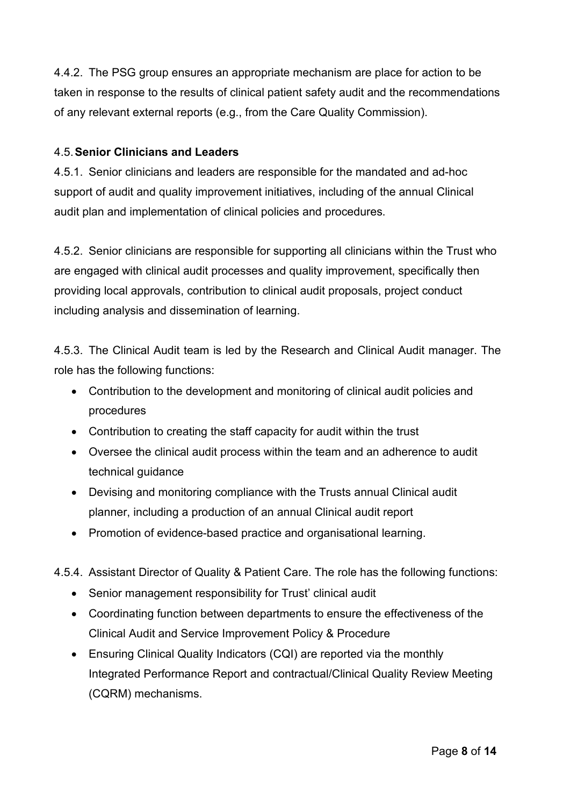4.4.2. The PSG group ensures an appropriate mechanism are place for action to be taken in response to the results of clinical patient safety audit and the recommendations of any relevant external reports (e.g., from the Care Quality Commission).

#### 4.5.**Senior Clinicians and Leaders**

4.5.1. Senior clinicians and leaders are responsible for the mandated and ad-hoc support of audit and quality improvement initiatives, including of the annual Clinical audit plan and implementation of clinical policies and procedures.

4.5.2. Senior clinicians are responsible for supporting all clinicians within the Trust who are engaged with clinical audit processes and quality improvement, specifically then providing local approvals, contribution to clinical audit proposals, project conduct including analysis and dissemination of learning.

4.5.3. The Clinical Audit team is led by the Research and Clinical Audit manager. The role has the following functions:

- Contribution to the development and monitoring of clinical audit policies and procedures
- Contribution to creating the staff capacity for audit within the trust
- Oversee the clinical audit process within the team and an adherence to audit technical guidance
- Devising and monitoring compliance with the Trusts annual Clinical audit planner, including a production of an annual Clinical audit report
- Promotion of evidence-based practice and organisational learning.
- 4.5.4. Assistant Director of Quality & Patient Care. The role has the following functions:
	- Senior management responsibility for Trust' clinical audit
	- Coordinating function between departments to ensure the effectiveness of the Clinical Audit and Service Improvement Policy & Procedure
	- Ensuring Clinical Quality Indicators (CQI) are reported via the monthly Integrated Performance Report and contractual/Clinical Quality Review Meeting (CQRM) mechanisms.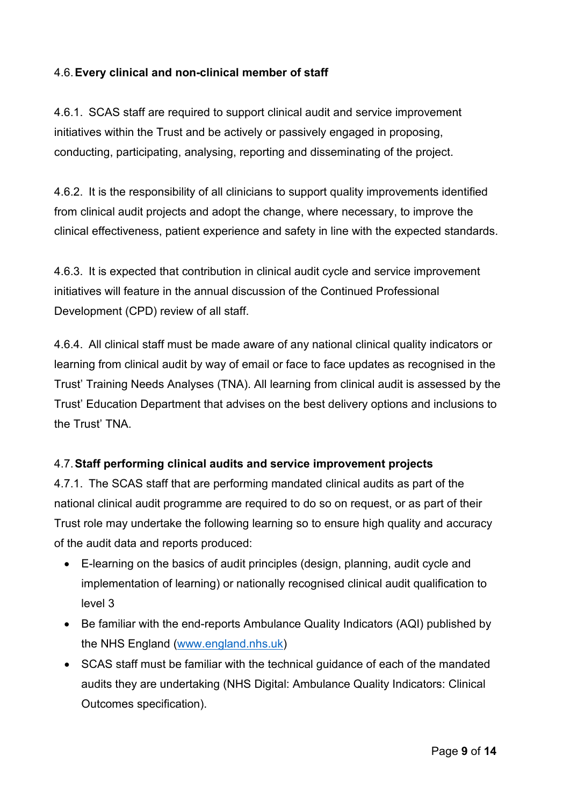#### 4.6.**Every clinical and non-clinical member of staff**

4.6.1. SCAS staff are required to support clinical audit and service improvement initiatives within the Trust and be actively or passively engaged in proposing, conducting, participating, analysing, reporting and disseminating of the project.

4.6.2. It is the responsibility of all clinicians to support quality improvements identified from clinical audit projects and adopt the change, where necessary, to improve the clinical effectiveness, patient experience and safety in line with the expected standards.

4.6.3. It is expected that contribution in clinical audit cycle and service improvement initiatives will feature in the annual discussion of the Continued Professional Development (CPD) review of all staff.

4.6.4. All clinical staff must be made aware of any national clinical quality indicators or learning from clinical audit by way of email or face to face updates as recognised in the Trust' Training Needs Analyses (TNA). All learning from clinical audit is assessed by the Trust' Education Department that advises on the best delivery options and inclusions to the Trust' TNA.

## 4.7.**Staff performing clinical audits and service improvement projects**

4.7.1. The SCAS staff that are performing mandated clinical audits as part of the national clinical audit programme are required to do so on request, or as part of their Trust role may undertake the following learning so to ensure high quality and accuracy of the audit data and reports produced:

- E-learning on the basics of audit principles (design, planning, audit cycle and implementation of learning) or nationally recognised clinical audit qualification to level 3
- Be familiar with the end-reports Ambulance Quality Indicators (AQI) published by the NHS England [\(www.england.nhs.uk\)](http://www.england.nhs.uk/)
- SCAS staff must be familiar with the technical guidance of each of the mandated audits they are undertaking (NHS Digital: Ambulance Quality Indicators: Clinical Outcomes specification).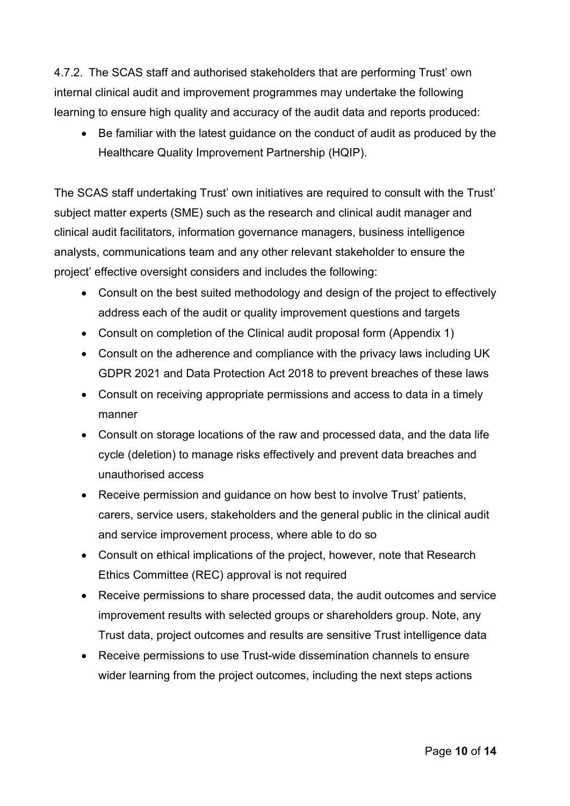4.7.2. The SCAS staff and authorised stakeholders that are performing Trust' own internal clinical audit and improvement programmes may undertake the following learning to ensure high quality and accuracy of the audit data and reports produced:

• Be familiar with the latest guidance on the conduct of audit as produced by the Healthcare Quality Improvement Partnership (HQIP).

The SCAS staff undertaking Trust' own initiatives are required to consult with the Trust' subject matter experts (SME) such as the research and clinical audit manager and clinical audit facilitators, information governance managers, business intelligence analysts, communications team and any other relevant stakeholder to ensure the project' effective oversight considers and includes the following:

- Consult on the best suited methodology and design of the project to effectively address each of the audit or quality improvement questions and targets
- Consult on completion of the Clinical audit proposal form (Appendix 1)
- Consult on the adherence and compliance with the privacy laws including UK GDPR 2021 and Data Protection Act 2018 to prevent breaches of these laws
- Consult on receiving appropriate permissions and access to data in a timely manner
- Consult on storage locations of the raw and processed data, and the data life cycle (deletion) to manage risks effectively and prevent data breaches and unauthorised access
- Receive permission and guidance on how best to involve Trust' patients, carers, service users, stakeholders and the general public in the clinical audit and service improvement process, where able to do so
- Consult on ethical implications of the project, however, note that Research Ethics Committee (REC) approval is not required
- Receive permissions to share processed data, the audit outcomes and service improvement results with selected groups or shareholders group. Note, any Trust data, project outcomes and results are sensitive Trust intelligence data
- Receive permissions to use Trust-wide dissemination channels to ensure wider learning from the project outcomes, including the next steps actions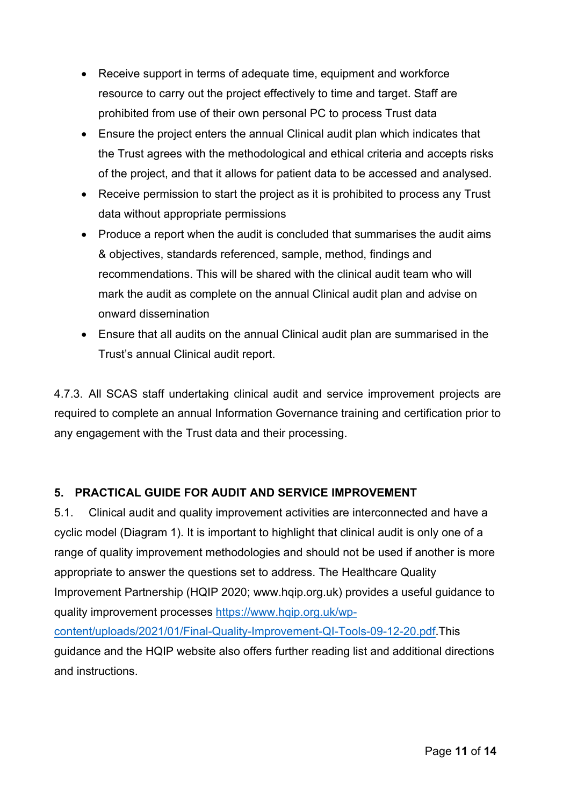- Receive support in terms of adequate time, equipment and workforce resource to carry out the project effectively to time and target. Staff are prohibited from use of their own personal PC to process Trust data
- Ensure the project enters the annual Clinical audit plan which indicates that the Trust agrees with the methodological and ethical criteria and accepts risks of the project, and that it allows for patient data to be accessed and analysed.
- Receive permission to start the project as it is prohibited to process any Trust data without appropriate permissions
- Produce a report when the audit is concluded that summarises the audit aims & objectives, standards referenced, sample, method, findings and recommendations. This will be shared with the clinical audit team who will mark the audit as complete on the annual Clinical audit plan and advise on onward dissemination
- Ensure that all audits on the annual Clinical audit plan are summarised in the Trust's annual Clinical audit report.

4.7.3. All SCAS staff undertaking clinical audit and service improvement projects are required to complete an annual Information Governance training and certification prior to any engagement with the Trust data and their processing.

## <span id="page-10-0"></span>**5. PRACTICAL GUIDE FOR AUDIT AND SERVICE IMPROVEMENT**

5.1. Clinical audit and quality improvement activities are interconnected and have a cyclic model (Diagram 1). It is important to highlight that clinical audit is only one of a range of quality improvement methodologies and should not be used if another is more appropriate to answer the questions set to address. The Healthcare Quality Improvement Partnership (HQIP 2020; www.hqip.org.uk) provides a useful guidance to quality improvement processes [https://www.hqip.org.uk/wp](https://www.hqip.org.uk/wp-content/uploads/2021/01/Final-Quality-Improvement-QI-Tools-09-12-20.pdf)[content/uploads/2021/01/Final-Quality-Improvement-QI-Tools-09-12-20.pdf.](https://www.hqip.org.uk/wp-content/uploads/2021/01/Final-Quality-Improvement-QI-Tools-09-12-20.pdf)This guidance and the HQIP website also offers further reading list and additional directions and instructions.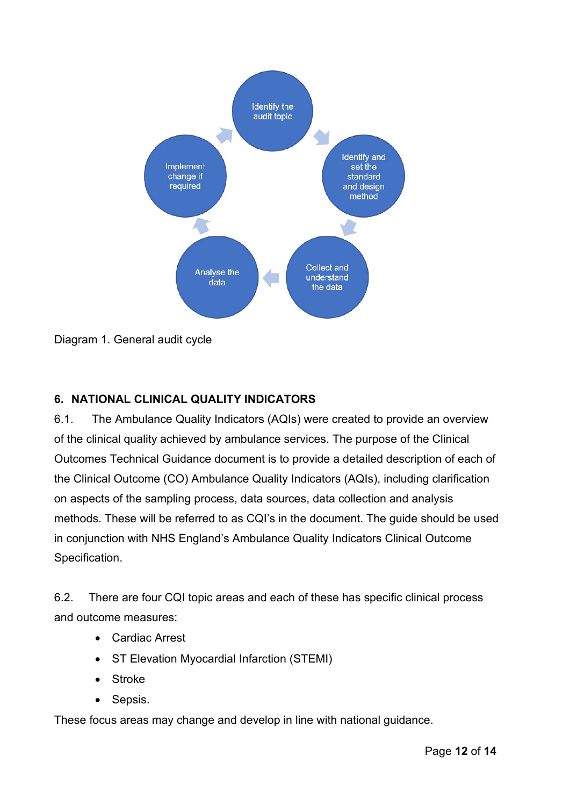

Diagram 1. General audit cycle

## <span id="page-11-0"></span>**6. NATIONAL CLINICAL QUALITY INDICATORS**

6.1. The Ambulance Quality Indicators (AQIs) were created to provide an overview of the clinical quality achieved by ambulance services. The purpose of the Clinical Outcomes Technical Guidance document is to provide a detailed description of each of the Clinical Outcome (CO) Ambulance Quality Indicators (AQIs), including clarification on aspects of the sampling process, data sources, data collection and analysis methods. These will be referred to as CQI's in the document. The guide should be used in conjunction with NHS England's Ambulance Quality Indicators Clinical Outcome Specification.

6.2. There are four CQI topic areas and each of these has specific clinical process and outcome measures:

- Cardiac Arrest
- ST Elevation Myocardial Infarction (STEMI)
- **Stroke**
- Sepsis.

These focus areas may change and develop in line with national guidance.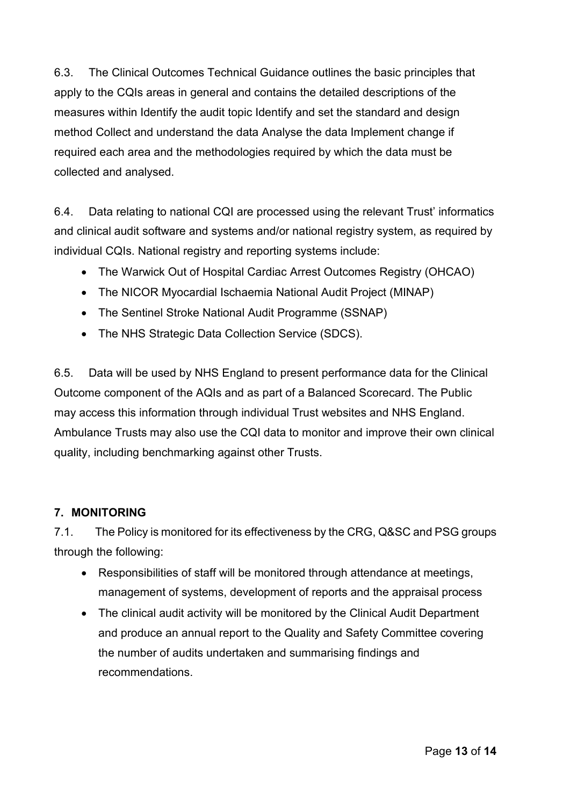6.3. The Clinical Outcomes Technical Guidance outlines the basic principles that apply to the CQIs areas in general and contains the detailed descriptions of the measures within Identify the audit topic Identify and set the standard and design method Collect and understand the data Analyse the data Implement change if required each area and the methodologies required by which the data must be collected and analysed.

6.4. Data relating to national CQI are processed using the relevant Trust' informatics and clinical audit software and systems and/or national registry system, as required by individual CQIs. National registry and reporting systems include:

- The Warwick Out of Hospital Cardiac Arrest Outcomes Registry (OHCAO)
- The NICOR Myocardial Ischaemia National Audit Project (MINAP)
- The Sentinel Stroke National Audit Programme (SSNAP)
- The NHS Strategic Data Collection Service (SDCS).

6.5. Data will be used by NHS England to present performance data for the Clinical Outcome component of the AQIs and as part of a Balanced Scorecard. The Public may access this information through individual Trust websites and NHS England. Ambulance Trusts may also use the CQI data to monitor and improve their own clinical quality, including benchmarking against other Trusts.

## <span id="page-12-0"></span>**7. MONITORING**

7.1. The Policy is monitored for its effectiveness by the CRG, Q&SC and PSG groups through the following:

- Responsibilities of staff will be monitored through attendance at meetings, management of systems, development of reports and the appraisal process
- The clinical audit activity will be monitored by the Clinical Audit Department and produce an annual report to the Quality and Safety Committee covering the number of audits undertaken and summarising findings and recommendations.